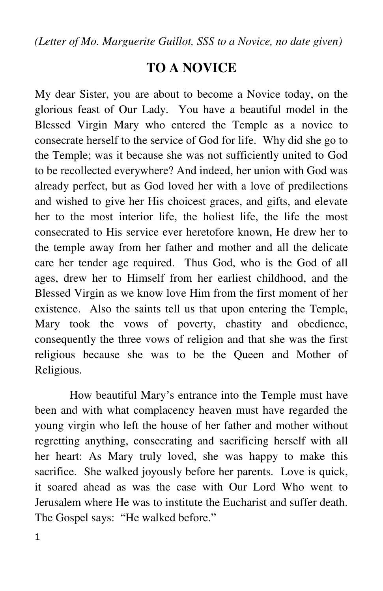*(Letter of Mo. Marguerite Guillot, SSS to a Novice, no date given)* 

## **TO A NOVICE**

My dear Sister, you are about to become a Novice today, on the glorious feast of Our Lady. You have a beautiful model in the Blessed Virgin Mary who entered the Temple as a novice to consecrate herself to the service of God for life. Why did she go to the Temple; was it because she was not sufficiently united to God to be recollected everywhere? And indeed, her union with God was already perfect, but as God loved her with a love of predilections and wished to give her His choicest graces, and gifts, and elevate her to the most interior life, the holiest life, the life the most consecrated to His service ever heretofore known, He drew her to the temple away from her father and mother and all the delicate care her tender age required. Thus God, who is the God of all ages, drew her to Himself from her earliest childhood, and the Blessed Virgin as we know love Him from the first moment of her existence. Also the saints tell us that upon entering the Temple, Mary took the vows of poverty, chastity and obedience, consequently the three vows of religion and that she was the first religious because she was to be the Queen and Mother of Religious.

 How beautiful Mary's entrance into the Temple must have been and with what complacency heaven must have regarded the young virgin who left the house of her father and mother without regretting anything, consecrating and sacrificing herself with all her heart: As Mary truly loved, she was happy to make this sacrifice. She walked joyously before her parents. Love is quick, it soared ahead as was the case with Our Lord Who went to Jerusalem where He was to institute the Eucharist and suffer death. The Gospel says: "He walked before."

1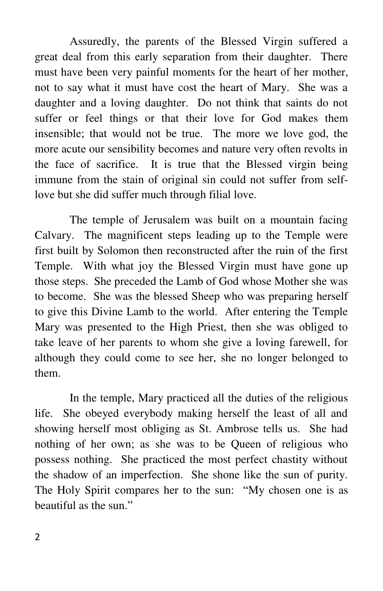Assuredly, the parents of the Blessed Virgin suffered a great deal from this early separation from their daughter. There must have been very painful moments for the heart of her mother, not to say what it must have cost the heart of Mary. She was a daughter and a loving daughter. Do not think that saints do not suffer or feel things or that their love for God makes them insensible; that would not be true. The more we love god, the more acute our sensibility becomes and nature very often revolts in the face of sacrifice. It is true that the Blessed virgin being immune from the stain of original sin could not suffer from selflove but she did suffer much through filial love.

 The temple of Jerusalem was built on a mountain facing Calvary. The magnificent steps leading up to the Temple were first built by Solomon then reconstructed after the ruin of the first Temple. With what joy the Blessed Virgin must have gone up those steps. She preceded the Lamb of God whose Mother she was to become. She was the blessed Sheep who was preparing herself to give this Divine Lamb to the world. After entering the Temple Mary was presented to the High Priest, then she was obliged to take leave of her parents to whom she give a loving farewell, for although they could come to see her, she no longer belonged to them.

 In the temple, Mary practiced all the duties of the religious life. She obeyed everybody making herself the least of all and showing herself most obliging as St. Ambrose tells us. She had nothing of her own; as she was to be Queen of religious who possess nothing. She practiced the most perfect chastity without the shadow of an imperfection. She shone like the sun of purity. The Holy Spirit compares her to the sun: "My chosen one is as beautiful as the sun."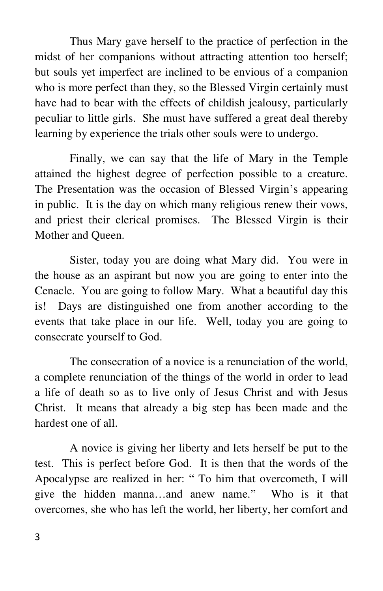Thus Mary gave herself to the practice of perfection in the midst of her companions without attracting attention too herself; but souls yet imperfect are inclined to be envious of a companion who is more perfect than they, so the Blessed Virgin certainly must have had to bear with the effects of childish jealousy, particularly peculiar to little girls. She must have suffered a great deal thereby learning by experience the trials other souls were to undergo.

 Finally, we can say that the life of Mary in the Temple attained the highest degree of perfection possible to a creature. The Presentation was the occasion of Blessed Virgin's appearing in public. It is the day on which many religious renew their vows, and priest their clerical promises. The Blessed Virgin is their Mother and Queen.

 Sister, today you are doing what Mary did. You were in the house as an aspirant but now you are going to enter into the Cenacle. You are going to follow Mary. What a beautiful day this is! Days are distinguished one from another according to the events that take place in our life. Well, today you are going to consecrate yourself to God.

 The consecration of a novice is a renunciation of the world, a complete renunciation of the things of the world in order to lead a life of death so as to live only of Jesus Christ and with Jesus Christ. It means that already a big step has been made and the hardest one of all.

 A novice is giving her liberty and lets herself be put to the test. This is perfect before God. It is then that the words of the Apocalypse are realized in her: " To him that overcometh, I will give the hidden manna…and anew name." Who is it that overcomes, she who has left the world, her liberty, her comfort and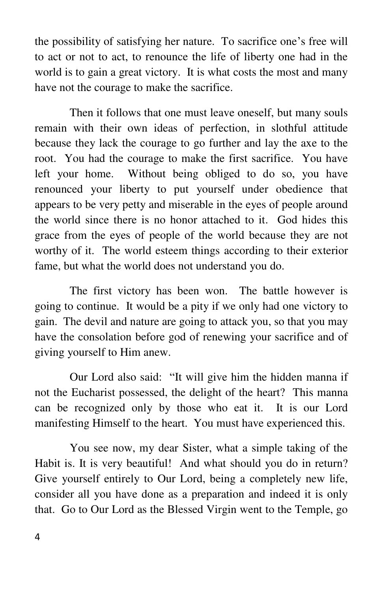the possibility of satisfying her nature. To sacrifice one's free will to act or not to act, to renounce the life of liberty one had in the world is to gain a great victory. It is what costs the most and many have not the courage to make the sacrifice.

 Then it follows that one must leave oneself, but many souls remain with their own ideas of perfection, in slothful attitude because they lack the courage to go further and lay the axe to the root. You had the courage to make the first sacrifice. You have left your home. Without being obliged to do so, you have renounced your liberty to put yourself under obedience that appears to be very petty and miserable in the eyes of people around the world since there is no honor attached to it. God hides this grace from the eyes of people of the world because they are not worthy of it. The world esteem things according to their exterior fame, but what the world does not understand you do.

 The first victory has been won. The battle however is going to continue. It would be a pity if we only had one victory to gain. The devil and nature are going to attack you, so that you may have the consolation before god of renewing your sacrifice and of giving yourself to Him anew.

 Our Lord also said: "It will give him the hidden manna if not the Eucharist possessed, the delight of the heart? This manna can be recognized only by those who eat it. It is our Lord manifesting Himself to the heart. You must have experienced this.

 You see now, my dear Sister, what a simple taking of the Habit is. It is very beautiful! And what should you do in return? Give yourself entirely to Our Lord, being a completely new life, consider all you have done as a preparation and indeed it is only that. Go to Our Lord as the Blessed Virgin went to the Temple, go